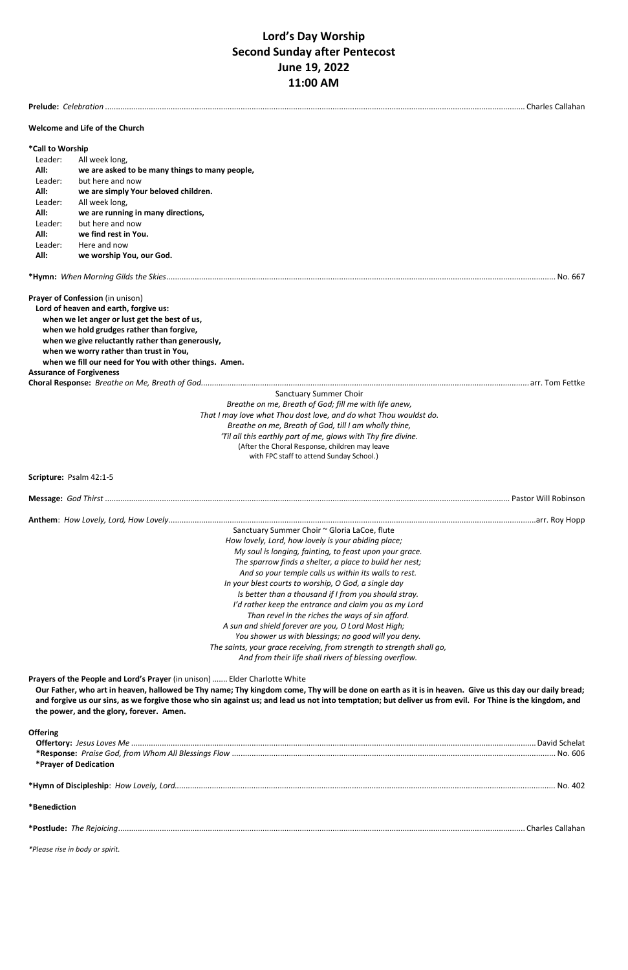# **Lord's Day Worship Second Sunday after Pentecost June 19, 2022 11:00 AM**

| Charles Callahan                                                                                                |                                                                                                                                                                                                                                                                                                                                                                                                                                                                                                                                                                                                                                                                                                                                                                    |         |  |  |
|-----------------------------------------------------------------------------------------------------------------|--------------------------------------------------------------------------------------------------------------------------------------------------------------------------------------------------------------------------------------------------------------------------------------------------------------------------------------------------------------------------------------------------------------------------------------------------------------------------------------------------------------------------------------------------------------------------------------------------------------------------------------------------------------------------------------------------------------------------------------------------------------------|---------|--|--|
|                                                                                                                 | Welcome and Life of the Church                                                                                                                                                                                                                                                                                                                                                                                                                                                                                                                                                                                                                                                                                                                                     |         |  |  |
| *Call to Worship<br>Leader:<br>All:<br>Leader:<br>All:<br>Leader:<br>All:<br>Leader:<br>All:<br>Leader:<br>All: | All week long,<br>we are asked to be many things to many people,<br>but here and now<br>we are simply Your beloved children.<br>All week long,<br>we are running in many directions,<br>but here and now<br>we find rest in You.<br>Here and now<br>we worship You, our God.                                                                                                                                                                                                                                                                                                                                                                                                                                                                                       |         |  |  |
|                                                                                                                 |                                                                                                                                                                                                                                                                                                                                                                                                                                                                                                                                                                                                                                                                                                                                                                    | No. 667 |  |  |
| <b>Assurance of Forgiveness</b>                                                                                 | Prayer of Confession (in unison)<br>Lord of heaven and earth, forgive us:<br>when we let anger or lust get the best of us,<br>when we hold grudges rather than forgive,<br>when we give reluctantly rather than generously,<br>when we worry rather than trust in You,<br>when we fill our need for You with other things. Amen.                                                                                                                                                                                                                                                                                                                                                                                                                                   |         |  |  |
|                                                                                                                 | <b>Sanctuary Summer Choir</b><br>Breathe on me, Breath of God; fill me with life anew,                                                                                                                                                                                                                                                                                                                                                                                                                                                                                                                                                                                                                                                                             |         |  |  |
|                                                                                                                 | That I may love what Thou dost love, and do what Thou wouldst do.<br>Breathe on me, Breath of God, till I am wholly thine,<br>'Til all this earthly part of me, glows with Thy fire divine.<br>(After the Choral Response, children may leave<br>with FPC staff to attend Sunday School.)                                                                                                                                                                                                                                                                                                                                                                                                                                                                          |         |  |  |
| Scripture: Psalm 42:1-5                                                                                         |                                                                                                                                                                                                                                                                                                                                                                                                                                                                                                                                                                                                                                                                                                                                                                    |         |  |  |
|                                                                                                                 |                                                                                                                                                                                                                                                                                                                                                                                                                                                                                                                                                                                                                                                                                                                                                                    |         |  |  |
|                                                                                                                 | Sanctuary Summer Choir ~ Gloria LaCoe, flute<br>How lovely, Lord, how lovely is your abiding place;<br>My soul is longing, fainting, to feast upon your grace.<br>The sparrow finds a shelter, a place to build her nest;<br>And so your temple calls us within its walls to rest.<br>In your blest courts to worship, O God, a single day<br>Is better than a thousand if I from you should stray.<br>I'd rather keep the entrance and claim you as my Lord<br>Than revel in the riches the ways of sin afford.<br>A sun and shield forever are you, O Lord Most High;<br>You shower us with blessings; no good will you deny.<br>The saints, your grace receiving, from strength to strength shall go,<br>And from their life shall rivers of blessing overflow. |         |  |  |

**Prayers of the People and Lord's Prayer** (in unison) ....... Elder Charlotte White

**Our Father, who art in heaven, hallowed be Thy name; Thy kingdom come, Thy will be done on earth as it is in heaven. Give us this day our daily bread; and forgive us our sins, as we forgive those who sin against us; and lead us not into temptation; but deliver us from evil. For Thine is the kingdom, and the power, and the glory, forever. Amen.**

### **Offering**

|                       | David Schelat |
|-----------------------|---------------|
|                       | . No. 606     |
| *Praver of Dedication |               |

| - * 1 L<br>shir<br>HV. | . $\cap r$<br>NΩ<br>างคพ | - 711 1<br>᠇୰୵ |
|------------------------|--------------------------|----------------|
|------------------------|--------------------------|----------------|

### **\*Benediction**

| $*Dec.$ | ne<br><b>Reinicina</b> | Lallahar<br>. <del>.</del> . |
|---------|------------------------|------------------------------|
|---------|------------------------|------------------------------|

*\*Please rise in body or spirit.*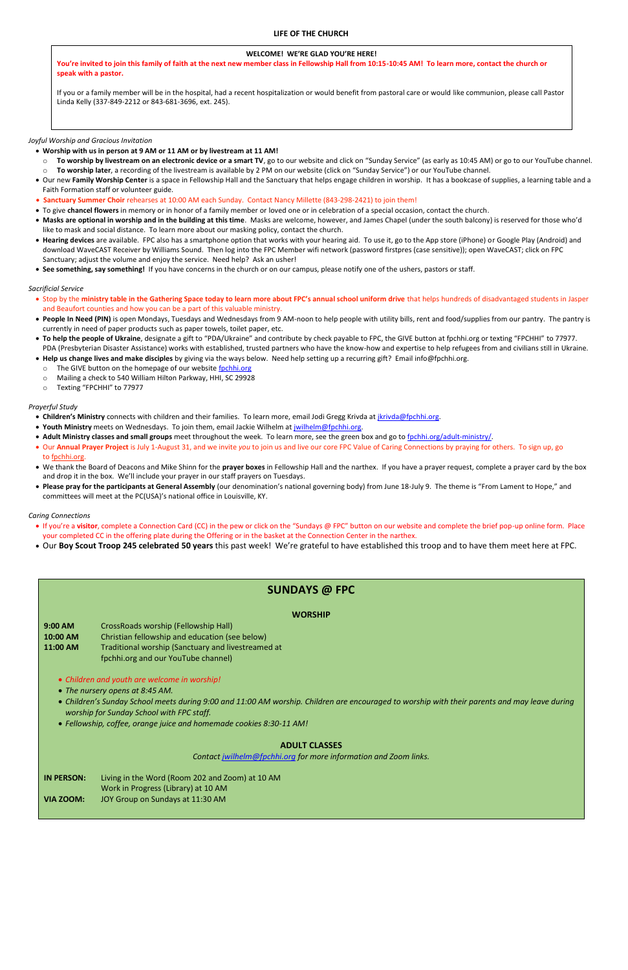### **LIFE OF THE CHURCH**

#### *Joyful Worship and Gracious Invitation*

### • **Worship with us in person at 9 AM or 11 AM or by livestream at 11 AM!**

- o **To worship by livestream on an electronic device or a smart TV**, go to our website and click on "Sunday Service" (as early as 10:45 AM) or go to our YouTube channel.
- To worship later, a recording of the livestream is available by 2 PM on our website (click on "Sunday Service") or our YouTube channel.
- Our new **Family Worship Center** is a space in Fellowship Hall and the Sanctuary that helps engage children in worship. It has a bookcase of supplies, a learning table and a Faith Formation staff or volunteer guide.
- **Sanctuary Summer Choir** rehearses at 10:00 AM each Sunday. Contact Nancy Millette (843-298-2421) to join them!
- To give **chancel flowers** in memory or in honor of a family member or loved one or in celebration of a special occasion, contact the church.
- **Masks are optional in worship and in the building at this time**. Masks are welcome, however, and James Chapel (under the south balcony) is reserved for those who'd like to mask and social distance. To learn more about our masking policy, contact the church.
- **Hearing devices** are available. FPC also has a smartphone option that works with your hearing aid. To use it, go to the App store (iPhone) or Google Play (Android) and download WaveCAST Receiver by Williams Sound. Then log into the FPC Member wifi network (password firstpres (case sensitive)); open WaveCAST; click on FPC Sanctuary; adjust the volume and enjoy the service. Need help? Ask an usher!
- **See something, say something!** If you have concerns in the church or on our campus, please notify one of the ushers, pastors or staff.

### *Sacrificial Service*

- Children's Ministry connects with children and their families. To learn more, email Jodi Gregg Krivda at *jkrivda@fpchhi.org*.
- **Youth Ministry** meets on Wednesdays. To join them, email Jackie Wilhelm at [jwilhelm@fpchhi.org.](mailto:jwilhelm@fpchhi.org)
- Adult Ministry classes and small groups meet throughout the week. To learn more, see the green box and go to [fpchhi.org/adult-ministry/.](https://www.fpchhi.org/adult-ministry/)
- Our **Annual Prayer Project** is July 1-August 31, and we invite *you* to join us and live our core FPC Value of Caring Connections by praying for others. To sign up, go to [fpchhi.org.](http://fpchhi.org/)
- We thank the Board of Deacons and Mike Shinn for the **prayer boxes** in Fellowship Hall and the narthex. If you have a prayer request, complete a prayer card by the box and drop it in the box. We'll include your prayer in our staff prayers on Tuesdays.
- **Please pray for the participants at General Assembly** (our denomination's national governing body) from June 18-July 9. The theme is "From Lament to Hope," and committees will meet at the PC(USA)'s national office in Louisville, KY.
- Stop by the **ministry table in the Gathering Space today to learn more about FPC's annual school uniform drive** that helps hundreds of disadvantaged students in Jasper and Beaufort counties and how you can be a part of this valuable ministry.
- **People In Need (PIN)** is open Mondays, Tuesdays and Wednesdays from 9 AM-noon to help people with utility bills, rent and food/supplies from our pantry. The pantry is currently in need of paper products such as paper towels, toilet paper, etc.
- **To help the people of Ukraine**, designate a gift to "PDA/Ukraine" and contribute by check payable to FPC, the GIVE button at fpchhi.org or texting "FPCHHI" to 77977. PDA (Presbyterian Disaster Assistance) works with established, trusted partners who have the know-how and expertise to help refugees from and civilians still in Ukraine.
- **Help us change lives and make disciples** by giving via the ways below. Need help setting up a recurring gift? Email info@fpchhi.org.
	- o The GIVE button on the homepage of our website [fpchhi.org](http://fpchhi.org/)
	- o Mailing a check to 540 William Hilton Parkway, HHI, SC 29928
	- o Texting "FPCHHI" to 77977

### *Prayerful Study*

#### *Caring Connections*

- If you're a **visitor**, complete a Connection Card (CC) in the pew or click on the "Sundays @ FPC" button on our website and complete the brief pop-up online form. Place your completed CC in the offering plate during the Offering or in the basket at the Connection Center in the narthex.
- Our **Boy Scout Troop 245 celebrated 50 years** this past week! We're grateful to have established this troop and to have them meet here at FPC.

### **WELCOME! WE'RE GLAD YOU'RE HERE!**

**You're invited to join this family of faith at the next new member class in Fellowship Hall from 10:15-10:45 AM! To learn more, contact the church or speak with a pastor.**

If you or a family member will be in the hospital, had a recent hospitalization or would benefit from pastoral care or would like communion, please call Pastor Linda Kelly (337-849-2212 or 843-681-3696, ext. 245).

# **SUNDAYS @ FPC**

### **WORSHIP**

**9:00 AM** CrossRoads worship (Fellowship Hall) **10:00 AM** Christian fellowship and education (see below) 11:00 AM Traditional worship (Sanctuary and livestreamed at fpchhi.org and our YouTube channel)

- *Children and youth are welcome in worship!*
- *The nursery opens at 8:45 AM.*
- *Children's Sunday School meets during 9:00 and 11:00 AM worship. Children are encouraged to worship with their parents and may leave during worship for Sunday School with FPC staff.*
- 
- *Fellowship, coffee, orange juice and homemade cookies 8:30-11 AM!*

### **ADULT CLASSES**

*Contact [jwilhelm@fpchhi.org](mailto:jwilhelm@fpchhi.org) for more information and Zoom links.*

- **IN PERSON:** Living in the Word (Room 202 and Zoom) at 10 AM Work in Progress (Library) at 10 AM
- **VIA ZOOM:** JOY Group on Sundays at 11:30 AM